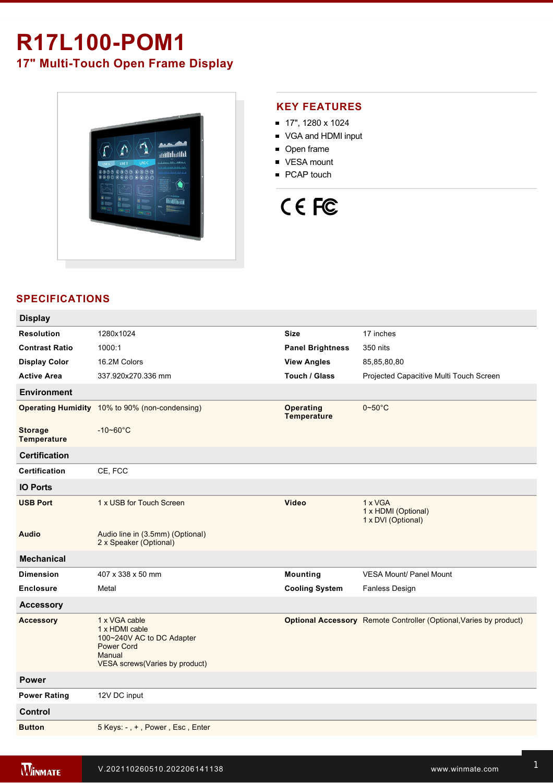# **R17L100-POM1 17" Multi-Touch Open Frame Display**



## **KEY FEATURES**

- 17", 1280 x 1024
- VGA and HDMI input
- Open frame
- **vESA** mount
- **PCAP** touch

# CE FC

# **SPECIFICATIONS**

| <b>Display</b>                       |                                                                                                                               |                                        |                                                                           |
|--------------------------------------|-------------------------------------------------------------------------------------------------------------------------------|----------------------------------------|---------------------------------------------------------------------------|
| <b>Resolution</b>                    | 1280x1024                                                                                                                     | <b>Size</b>                            | 17 inches                                                                 |
| <b>Contrast Ratio</b>                | 1000:1                                                                                                                        | <b>Panel Brightness</b>                | 350 nits                                                                  |
| <b>Display Color</b>                 | 16.2M Colors                                                                                                                  | <b>View Angles</b>                     | 85,85,80,80                                                               |
| Active Area                          | 337.920x270.336 mm                                                                                                            | Touch / Glass                          | Projected Capacitive Multi Touch Screen                                   |
| <b>Environment</b>                   |                                                                                                                               |                                        |                                                                           |
| <b>Operating Humidity</b>            | 10% to 90% (non-condensing)                                                                                                   | <b>Operating</b><br><b>Temperature</b> | $0\nthicksim50^{\circ}$ C                                                 |
| <b>Storage</b><br><b>Temperature</b> | $-10 - 60^{\circ}$ C                                                                                                          |                                        |                                                                           |
| <b>Certification</b>                 |                                                                                                                               |                                        |                                                                           |
| Certification                        | CE, FCC                                                                                                                       |                                        |                                                                           |
| <b>IO Ports</b>                      |                                                                                                                               |                                        |                                                                           |
| <b>USB Port</b>                      | 1 x USB for Touch Screen                                                                                                      | <b>Video</b>                           | 1 x VGA<br>1 x HDMI (Optional)<br>1 x DVI (Optional)                      |
| <b>Audio</b>                         | Audio line in (3.5mm) (Optional)<br>2 x Speaker (Optional)                                                                    |                                        |                                                                           |
| <b>Mechanical</b>                    |                                                                                                                               |                                        |                                                                           |
| <b>Dimension</b>                     | 407 x 338 x 50 mm                                                                                                             | Mounting                               | <b>VESA Mount/ Panel Mount</b>                                            |
| <b>Enclosure</b>                     | Metal                                                                                                                         | <b>Cooling System</b>                  | <b>Fanless Design</b>                                                     |
| <b>Accessory</b>                     |                                                                                                                               |                                        |                                                                           |
| <b>Accessory</b>                     | 1 x VGA cable<br>1 x HDMI cable<br>100~240V AC to DC Adapter<br><b>Power Cord</b><br>Manual<br>VESA screws(Varies by product) |                                        | <b>Optional Accessory</b> Remote Controller (Optional, Varies by product) |
| <b>Power</b>                         |                                                                                                                               |                                        |                                                                           |
| <b>Power Rating</b>                  | 12V DC input                                                                                                                  |                                        |                                                                           |
| <b>Control</b>                       |                                                                                                                               |                                        |                                                                           |
| <b>Button</b>                        | 5 Keys: -, +, Power, Esc, Enter                                                                                               |                                        |                                                                           |
|                                      |                                                                                                                               |                                        |                                                                           |